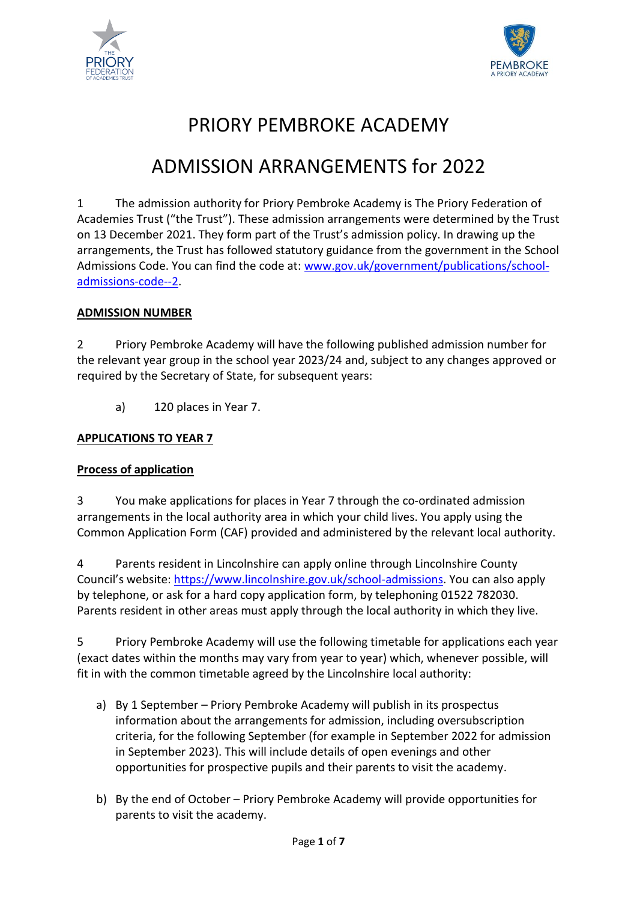



# PRIORY PEMBROKE ACADEMY

# ADMISSION ARRANGEMENTS for 2022

1 The admission authority for Priory Pembroke Academy is The Priory Federation of Academies Trust ("the Trust"). These admission arrangements were determined by the Trust on 13 December 2021. They form part of the Trust's admission policy. In drawing up the arrangements, the Trust has followed statutory guidance from the government in the School Admissions Code. You can find the code at: [www.gov.uk/government/publications/school](http://www.gov.uk/government/publications/school-admissions-code--2)[admissions-code--2.](http://www.gov.uk/government/publications/school-admissions-code--2)

## **ADMISSION NUMBER**

2 Priory Pembroke Academy will have the following published admission number for the relevant year group in the school year 2023/24 and, subject to any changes approved or required by the Secretary of State, for subsequent years:

a) 120 places in Year 7.

## **APPLICATIONS TO YEAR 7**

#### **Process of application**

3 You make applications for places in Year 7 through the co-ordinated admission arrangements in the local authority area in which your child lives. You apply using the Common Application Form (CAF) provided and administered by the relevant local authority.

4 Parents resident in Lincolnshire can apply online through Lincolnshire County Council's website: [https://www.lincolnshire.gov.uk/school-admissions.](https://www.lincolnshire.gov.uk/school-admissions) You can also apply by telephone, or ask for a hard copy application form, by telephoning 01522 782030. Parents resident in other areas must apply through the local authority in which they live.

5 Priory Pembroke Academy will use the following timetable for applications each year (exact dates within the months may vary from year to year) which, whenever possible, will fit in with the common timetable agreed by the Lincolnshire local authority:

- a) By 1 September Priory Pembroke Academy will publish in its prospectus information about the arrangements for admission, including oversubscription criteria, for the following September (for example in September 2022 for admission in September 2023). This will include details of open evenings and other opportunities for prospective pupils and their parents to visit the academy.
- b) By the end of October Priory Pembroke Academy will provide opportunities for parents to visit the academy.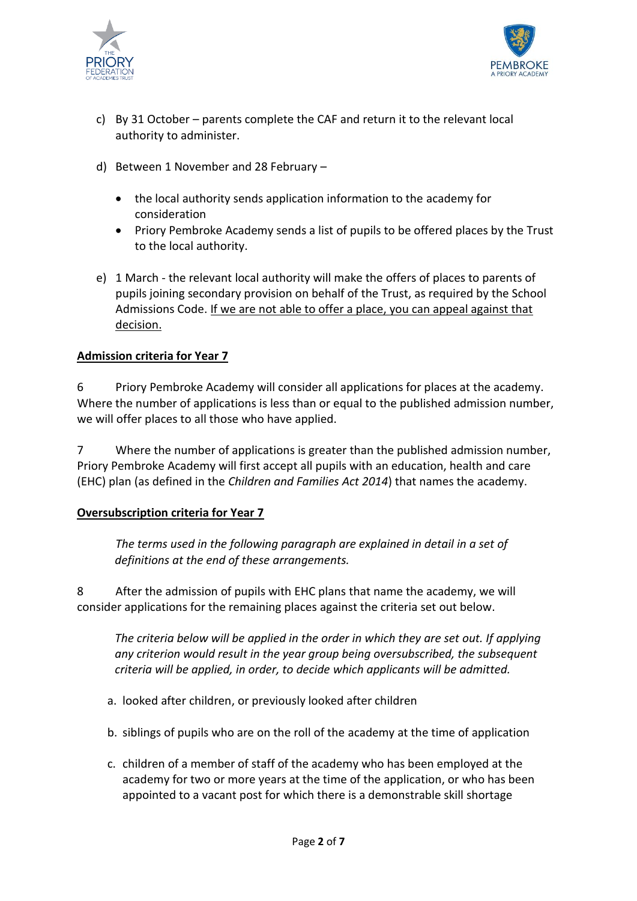



- c) By 31 October parents complete the CAF and return it to the relevant local authority to administer.
- d) Between 1 November and 28 February
	- the local authority sends application information to the academy for consideration
	- Priory Pembroke Academy sends a list of pupils to be offered places by the Trust to the local authority.
- e) 1 March the relevant local authority will make the offers of places to parents of pupils joining secondary provision on behalf of the Trust, as required by the School Admissions Code. If we are not able to offer a place, you can appeal against that decision.

#### **Admission criteria for Year 7**

6 Priory Pembroke Academy will consider all applications for places at the academy. Where the number of applications is less than or equal to the published admission number, we will offer places to all those who have applied.

7 Where the number of applications is greater than the published admission number, Priory Pembroke Academy will first accept all pupils with an education, health and care (EHC) plan (as defined in the *Children and Families Act 2014*) that names the academy.

#### **Oversubscription criteria for Year 7**

*The terms used in the following paragraph are explained in detail in a set of definitions at the end of these arrangements.*

8 After the admission of pupils with EHC plans that name the academy, we will consider applications for the remaining places against the criteria set out below.

*The criteria below will be applied in the order in which they are set out. If applying any criterion would result in the year group being oversubscribed, the subsequent criteria will be applied, in order, to decide which applicants will be admitted.*

- a. looked after children, or previously looked after children
- b. siblings of pupils who are on the roll of the academy at the time of application
- c. children of a member of staff of the academy who has been employed at the academy for two or more years at the time of the application, or who has been appointed to a vacant post for which there is a demonstrable skill shortage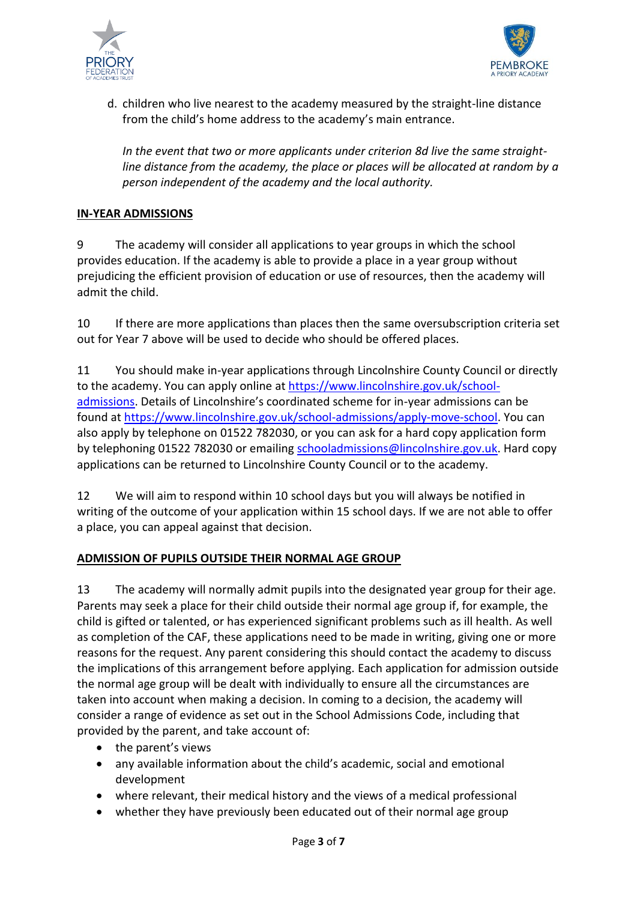



d. children who live nearest to the academy measured by the straight-line distance from the child's home address to the academy's main entrance.

*In the event that two or more applicants under criterion 8d live the same straightline distance from the academy, the place or places will be allocated at random by a person independent of the academy and the local authority.*

### **IN-YEAR ADMISSIONS**

9 The academy will consider all applications to year groups in which the school provides education. If the academy is able to provide a place in a year group without prejudicing the efficient provision of education or use of resources, then the academy will admit the child.

10 If there are more applications than places then the same oversubscription criteria set out for Year 7 above will be used to decide who should be offered places.

11 You should make in-year applications through Lincolnshire County Council or directly to the academy. You can apply online at [https://www.lincolnshire.gov.uk/school](https://www.lincolnshire.gov.uk/school-admissions)[admissions](https://www.lincolnshire.gov.uk/school-admissions). Details of Lincolnshire's coordinated scheme for in-year admissions can be found at [https://www.lincolnshire.gov.uk/school-admissions/apply-move-school.](https://www.lincolnshire.gov.uk/school-admissions/apply-move-school) You can also apply by telephone on 01522 782030, or you can ask for a hard copy application form by telephoning 01522 782030 or emailin[g schooladmissions@lincolnshire.gov.uk.](mailto:schooladmissions@lincolnshire.gov.uk) Hard copy applications can be returned to Lincolnshire County Council or to the academy.

12 We will aim to respond within 10 school days but you will always be notified in writing of the outcome of your application within 15 school days. If we are not able to offer a place, you can appeal against that decision.

#### **ADMISSION OF PUPILS OUTSIDE THEIR NORMAL AGE GROUP**

13 The academy will normally admit pupils into the designated year group for their age. Parents may seek a place for their child outside their normal age group if, for example, the child is gifted or talented, or has experienced significant problems such as ill health. As well as completion of the CAF, these applications need to be made in writing, giving one or more reasons for the request. Any parent considering this should contact the academy to discuss the implications of this arrangement before applying. Each application for admission outside the normal age group will be dealt with individually to ensure all the circumstances are taken into account when making a decision. In coming to a decision, the academy will consider a range of evidence as set out in the School Admissions Code, including that provided by the parent, and take account of:

- $\bullet$  the parent's views
- any available information about the child's academic, social and emotional development
- where relevant, their medical history and the views of a medical professional
- whether they have previously been educated out of their normal age group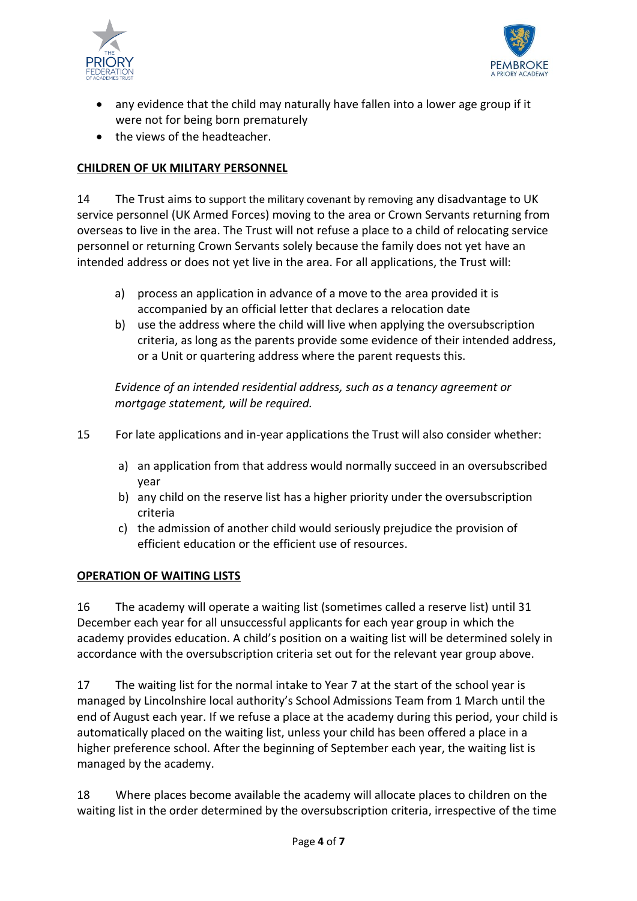



- any evidence that the child may naturally have fallen into a lower age group if it were not for being born prematurely
- the views of the headteacher.

## **CHILDREN OF UK MILITARY PERSONNEL**

14 The Trust aims to support the military covenant by removing any disadvantage to UK service personnel (UK Armed Forces) moving to the area or Crown Servants returning from overseas to live in the area. The Trust will not refuse a place to a child of relocating service personnel or returning Crown Servants solely because the family does not yet have an intended address or does not yet live in the area. For all applications, the Trust will:

- a) process an application in advance of a move to the area provided it is accompanied by an official letter that declares a relocation date
- b) use the address where the child will live when applying the oversubscription criteria, as long as the parents provide some evidence of their intended address, or a Unit or quartering address where the parent requests this.

*Evidence of an intended residential address, such as a tenancy agreement or mortgage statement, will be required.* 

- 15 For late applications and in-year applications the Trust will also consider whether:
	- a) an application from that address would normally succeed in an oversubscribed year
	- b) any child on the reserve list has a higher priority under the oversubscription criteria
	- c) the admission of another child would seriously prejudice the provision of efficient education or the efficient use of resources.

#### **OPERATION OF WAITING LISTS**

16 The academy will operate a waiting list (sometimes called a reserve list) until 31 December each year for all unsuccessful applicants for each year group in which the academy provides education. A child's position on a waiting list will be determined solely in accordance with the oversubscription criteria set out for the relevant year group above.

17 The waiting list for the normal intake to Year 7 at the start of the school year is managed by Lincolnshire local authority's School Admissions Team from 1 March until the end of August each year. If we refuse a place at the academy during this period, your child is automatically placed on the waiting list, unless your child has been offered a place in a higher preference school. After the beginning of September each year, the waiting list is managed by the academy.

18 Where places become available the academy will allocate places to children on the waiting list in the order determined by the oversubscription criteria, irrespective of the time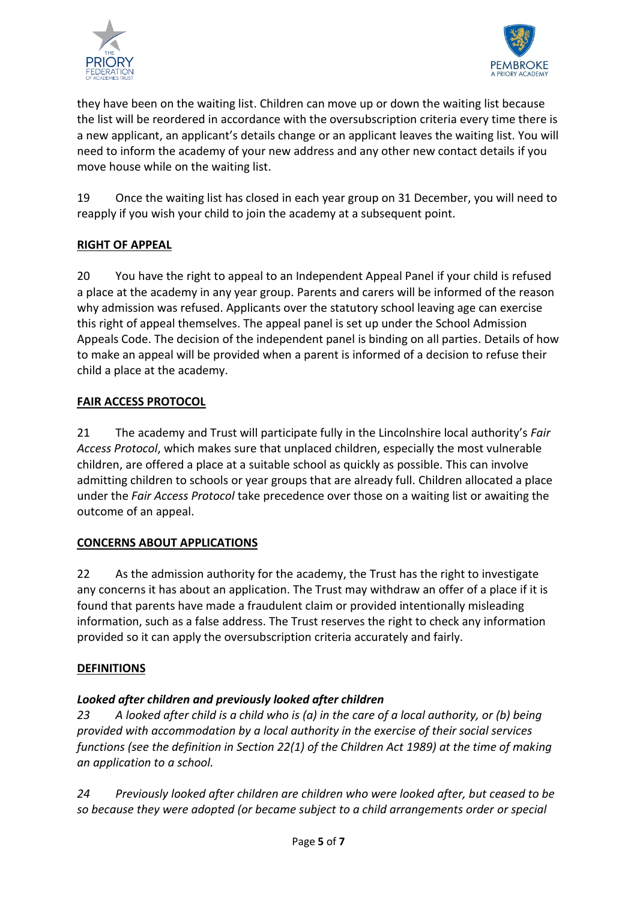



they have been on the waiting list. Children can move up or down the waiting list because the list will be reordered in accordance with the oversubscription criteria every time there is a new applicant, an applicant's details change or an applicant leaves the waiting list. You will need to inform the academy of your new address and any other new contact details if you move house while on the waiting list.

19 Once the waiting list has closed in each year group on 31 December, you will need to reapply if you wish your child to join the academy at a subsequent point.

# **RIGHT OF APPEAL**

20 You have the right to appeal to an Independent Appeal Panel if your child is refused a place at the academy in any year group. Parents and carers will be informed of the reason why admission was refused. Applicants over the statutory school leaving age can exercise this right of appeal themselves. The appeal panel is set up under the School Admission Appeals Code. The decision of the independent panel is binding on all parties. Details of how to make an appeal will be provided when a parent is informed of a decision to refuse their child a place at the academy.

#### **FAIR ACCESS PROTOCOL**

21 The academy and Trust will participate fully in the Lincolnshire local authority's *Fair Access Protocol*, which makes sure that unplaced children, especially the most vulnerable children, are offered a place at a suitable school as quickly as possible. This can involve admitting children to schools or year groups that are already full. Children allocated a place under the *Fair Access Protocol* take precedence over those on a waiting list or awaiting the outcome of an appeal.

#### **CONCERNS ABOUT APPLICATIONS**

22 As the admission authority for the academy, the Trust has the right to investigate any concerns it has about an application. The Trust may withdraw an offer of a place if it is found that parents have made a fraudulent claim or provided intentionally misleading information, such as a false address. The Trust reserves the right to check any information provided so it can apply the oversubscription criteria accurately and fairly.

#### **DEFINITIONS**

# *Looked after children and previously looked after children*

*23 A looked after child is a child who is (a) in the care of a local authority, or (b) being provided with accommodation by a local authority in the exercise of their social services functions (see the definition in Section 22(1) of the Children Act 1989) at the time of making an application to a school.*

*24 Previously looked after children are children who were looked after, but ceased to be so because they were adopted (or became subject to a child arrangements order or special*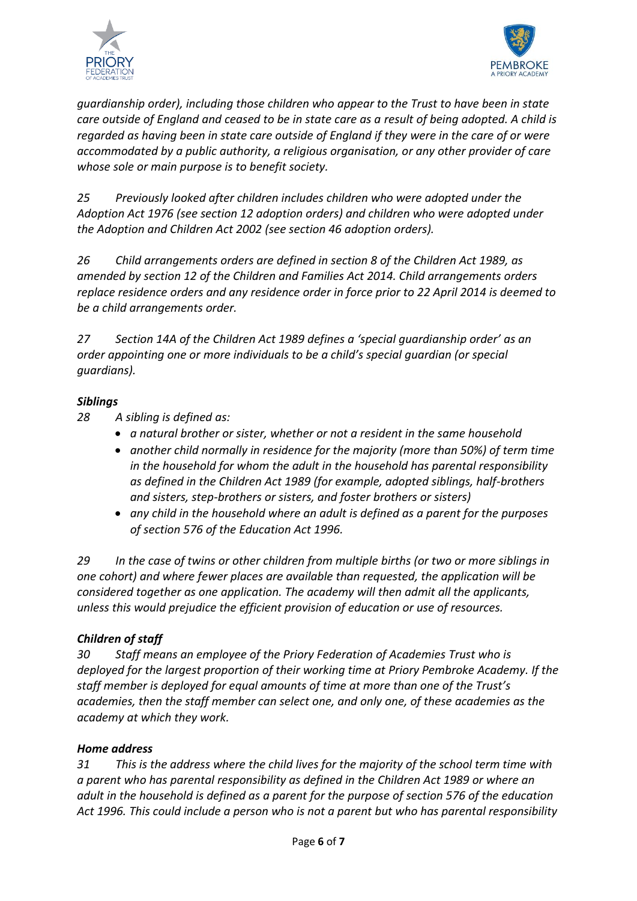



*guardianship order), including those children who appear to the Trust to have been in state care outside of England and ceased to be in state care as a result of being adopted. A child is regarded as having been in state care outside of England if they were in the care of or were accommodated by a public authority, a religious organisation, or any other provider of care whose sole or main purpose is to benefit society.*

*25 Previously looked after children includes children who were adopted under the Adoption Act 1976 (see section 12 adoption orders) and children who were adopted under the Adoption and Children Act 2002 (see section 46 adoption orders).* 

*26 Child arrangements orders are defined in section 8 of the Children Act 1989, as amended by section 12 of the Children and Families Act 2014. Child arrangements orders replace residence orders and any residence order in force prior to 22 April 2014 is deemed to be a child arrangements order.* 

*27 Section 14A of the Children Act 1989 defines a 'special guardianship order' as an order appointing one or more individuals to be a child's special guardian (or special guardians).*

#### *Siblings*

- *28 A sibling is defined as:*
	- *a natural brother or sister, whether or not a resident in the same household*
	- *another child normally in residence for the majority (more than 50%) of term time in the household for whom the adult in the household has parental responsibility as defined in the Children Act 1989 (for example, adopted siblings, half-brothers and sisters, step-brothers or sisters, and foster brothers or sisters)*
	- *any child in the household where an adult is defined as a parent for the purposes of section 576 of the Education Act 1996.*

*29 In the case of twins or other children from multiple births (or two or more siblings in one cohort) and where fewer places are available than requested, the application will be considered together as one application. The academy will then admit all the applicants, unless this would prejudice the efficient provision of education or use of resources.*

# *Children of staff*

*30 Staff means an employee of the Priory Federation of Academies Trust who is deployed for the largest proportion of their working time at Priory Pembroke Academy. If the staff member is deployed for equal amounts of time at more than one of the Trust's academies, then the staff member can select one, and only one, of these academies as the academy at which they work.*

#### *Home address*

*31 This is the address where the child lives for the majority of the school term time with a parent who has parental responsibility as defined in the Children Act 1989 or where an adult in the household is defined as a parent for the purpose of section 576 of the education Act 1996. This could include a person who is not a parent but who has parental responsibility*